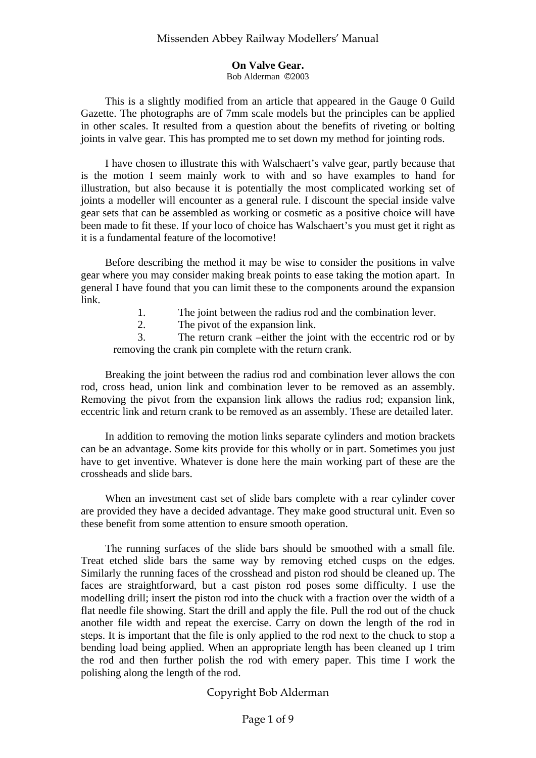### **On Valve Gear.**

Bob Alderman ©2003

This is a slightly modified from an article that appeared in the Gauge 0 Guild Gazette. The photographs are of 7mm scale models but the principles can be applied in other scales. It resulted from a question about the benefits of riveting or bolting joints in valve gear. This has prompted me to set down my method for jointing rods.

I have chosen to illustrate this with Walschaert's valve gear, partly because that is the motion I seem mainly work to with and so have examples to hand for illustration, but also because it is potentially the most complicated working set of joints a modeller will encounter as a general rule. I discount the special inside valve gear sets that can be assembled as working or cosmetic as a positive choice will have been made to fit these. If your loco of choice has Walschaert's you must get it right as it is a fundamental feature of the locomotive!

Before describing the method it may be wise to consider the positions in valve gear where you may consider making break points to ease taking the motion apart. In general I have found that you can limit these to the components around the expansion link.

1. The joint between the radius rod and the combination lever.

2. The pivot of the expansion link.

3. The return crank –either the joint with the eccentric rod or by removing the crank pin complete with the return crank.

Breaking the joint between the radius rod and combination lever allows the con rod, cross head, union link and combination lever to be removed as an assembly. Removing the pivot from the expansion link allows the radius rod; expansion link, eccentric link and return crank to be removed as an assembly. These are detailed later.

In addition to removing the motion links separate cylinders and motion brackets can be an advantage. Some kits provide for this wholly or in part. Sometimes you just have to get inventive. Whatever is done here the main working part of these are the crossheads and slide bars.

When an investment cast set of slide bars complete with a rear cylinder cover are provided they have a decided advantage. They make good structural unit. Even so these benefit from some attention to ensure smooth operation.

The running surfaces of the slide bars should be smoothed with a small file. Treat etched slide bars the same way by removing etched cusps on the edges. Similarly the running faces of the crosshead and piston rod should be cleaned up. The faces are straightforward, but a cast piston rod poses some difficulty. I use the modelling drill; insert the piston rod into the chuck with a fraction over the width of a flat needle file showing. Start the drill and apply the file. Pull the rod out of the chuck another file width and repeat the exercise. Carry on down the length of the rod in steps. It is important that the file is only applied to the rod next to the chuck to stop a bending load being applied. When an appropriate length has been cleaned up I trim the rod and then further polish the rod with emery paper. This time I work the polishing along the length of the rod.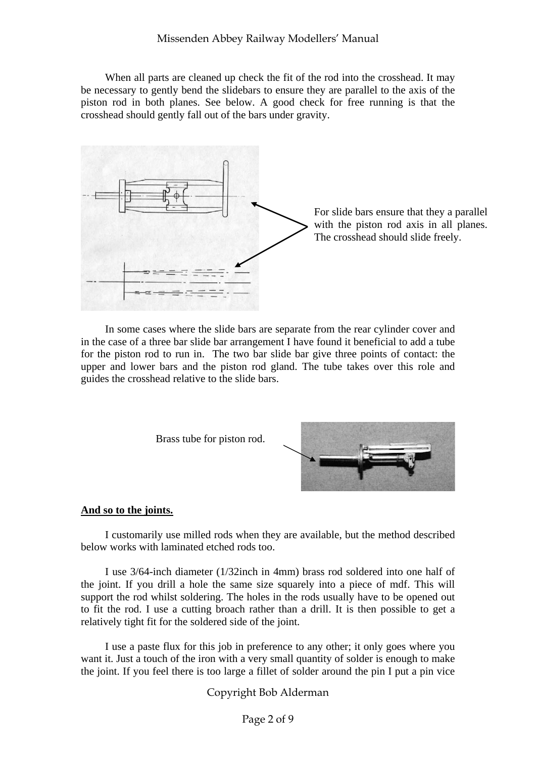When all parts are cleaned up check the fit of the rod into the crosshead. It may be necessary to gently bend the slidebars to ensure they are parallel to the axis of the piston rod in both planes. See below. A good check for free running is that the crosshead should gently fall out of the bars under gravity.



For slide bars ensure that they a parallel with the piston rod axis in all planes. The crosshead should slide freely.

In some cases where the slide bars are separate from the rear cylinder cover and in the case of a three bar slide bar arrangement I have found it beneficial to add a tube for the piston rod to run in. The two bar slide bar give three points of contact: the upper and lower bars and the piston rod gland. The tube takes over this role and guides the crosshead relative to the slide bars.





### **And so to the joints.**

I customarily use milled rods when they are available, but the method described below works with laminated etched rods too.

I use 3/64-inch diameter (1/32inch in 4mm) brass rod soldered into one half of the joint. If you drill a hole the same size squarely into a piece of mdf. This will support the rod whilst soldering. The holes in the rods usually have to be opened out to fit the rod. I use a cutting broach rather than a drill. It is then possible to get a relatively tight fit for the soldered side of the joint.

I use a paste flux for this job in preference to any other; it only goes where you want it. Just a touch of the iron with a very small quantity of solder is enough to make the joint. If you feel there is too large a fillet of solder around the pin I put a pin vice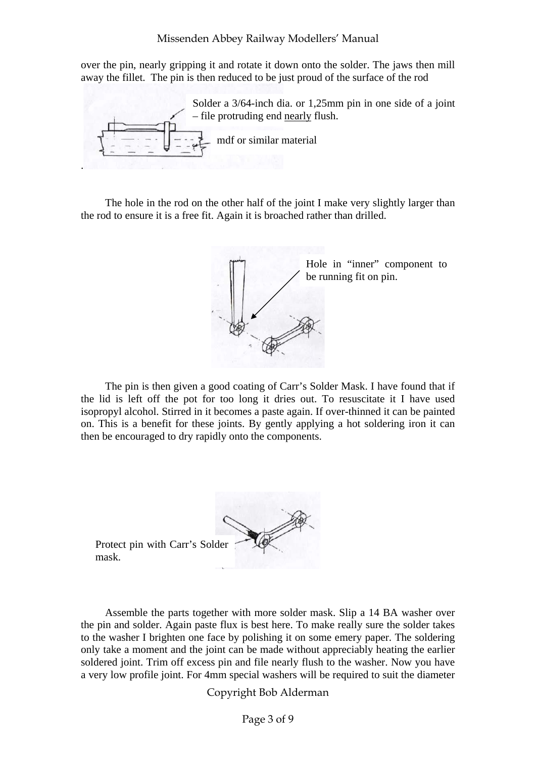over the pin, nearly gripping it and rotate it down onto the solder. The jaws then mill away the fillet. The pin is then reduced to be just proud of the surface of the rod

. Solder a 3/64-inch dia. or 1,25mm pin in one side of a joint – file protruding end nearly flush. mdf or similar material

The hole in the rod on the other half of the joint I make very slightly larger than the rod to ensure it is a free fit. Again it is broached rather than drilled.



The pin is then given a good coating of Carr's Solder Mask. I have found that if the lid is left off the pot for too long it dries out. To resuscitate it I have used isopropyl alcohol. Stirred in it becomes a paste again. If over-thinned it can be painted on. This is a benefit for these joints. By gently applying a hot soldering iron it can then be encouraged to dry rapidly onto the components.

Protect pin with Carr's Solder mask.

Assemble the parts together with more solder mask. Slip a 14 BA washer over the pin and solder. Again paste flux is best here. To make really sure the solder takes to the washer I brighten one face by polishing it on some emery paper. The soldering only take a moment and the joint can be made without appreciably heating the earlier soldered joint. Trim off excess pin and file nearly flush to the washer. Now you have a very low profile joint. For 4mm special washers will be required to suit the diameter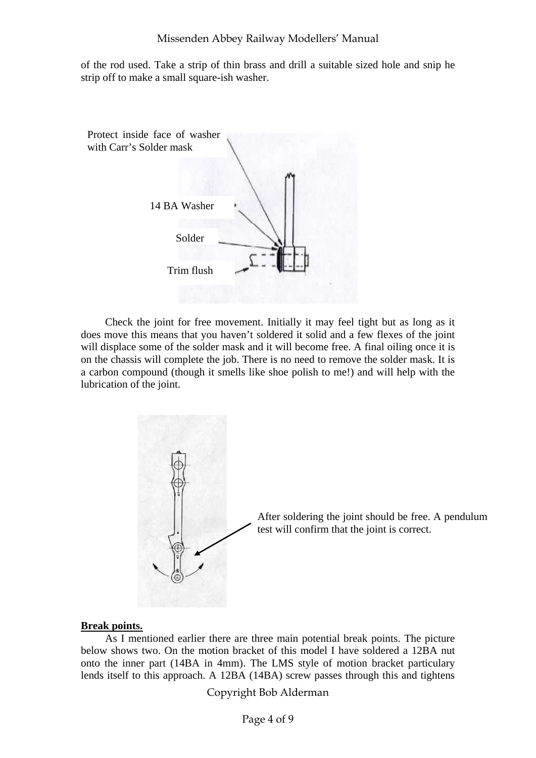of the rod used. Take a strip of thin brass and drill a suitable sized hole and snip he strip off to make a small square-ish washer.



Check the joint for free movement. Initially it may feel tight but as long as it does move this means that you haven't soldered it solid and a few flexes of the joint will displace some of the solder mask and it will become free. A final oiling once it is on the chassis will complete the job. There is no need to remove the solder mask. It is a carbon compound (though it smells like shoe polish to me!) and will help with the lubrication of the joint.



#### **Break points.**

As I mentioned earlier there are three main potential break points. The picture below shows two. On the motion bracket of this model I have soldered a 12BA nut onto the inner part (14BA in 4mm). The LMS style of motion bracket particulary lends itself to this approach. A 12BA (14BA) screw passes through this and tightens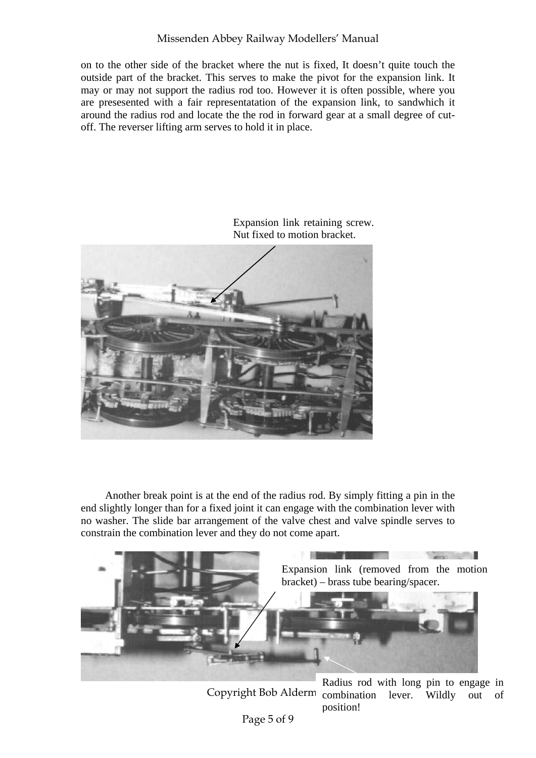## Missenden Abbey Railway Modellers' Manual

on to the other side of the bracket where the nut is fixed, It doesn't quite touch the outside part of the bracket. This serves to make the pivot for the expansion link. It may or may not support the radius rod too. However it is often possible, where you are presesented with a fair representatation of the expansion link, to sandwhich it around the radius rod and locate the the rod in forward gear at a small degree of cutoff. The reverser lifting arm serves to hold it in place.



Expansion link retaining screw. Nut fixed to motion bracket.

Another break point is at the end of the radius rod. By simply fitting a pin in the end slightly longer than for a fixed joint it can engage with the combination lever with no washer. The slide bar arrangement of the valve chest and valve spindle serves to constrain the combination lever and they do not come apart.



Copyright Bob Alderm combination lever. Wildly out of Radius rod with long pin to engage in position!

Page 5 of 9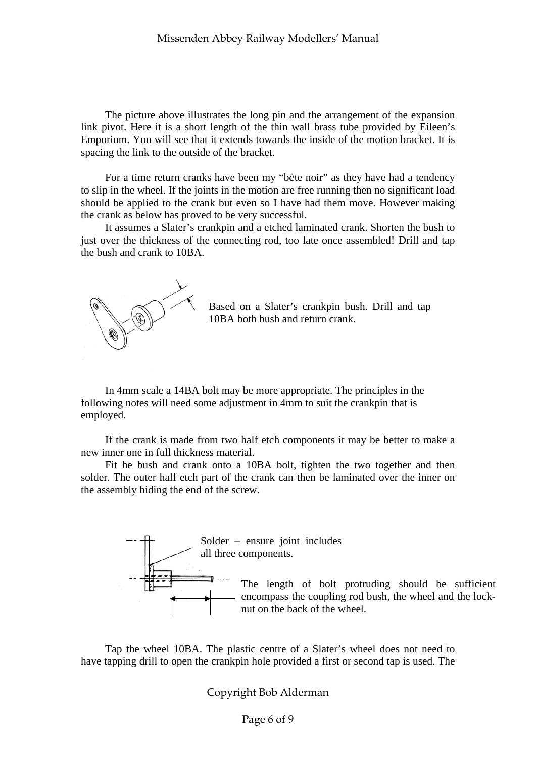The picture above illustrates the long pin and the arrangement of the expansion link pivot. Here it is a short length of the thin wall brass tube provided by Eileen's Emporium. You will see that it extends towards the inside of the motion bracket. It is spacing the link to the outside of the bracket.

For a time return cranks have been my "bête noir" as they have had a tendency to slip in the wheel. If the joints in the motion are free running then no significant load should be applied to the crank but even so I have had them move. However making the crank as below has proved to be very successful.

It assumes a Slater's crankpin and a etched laminated crank. Shorten the bush to just over the thickness of the connecting rod, too late once assembled! Drill and tap the bush and crank to 10BA.



Based on a Slater's crankpin bush. Drill and tap 10BA both bush and return crank.

In 4mm scale a 14BA bolt may be more appropriate. The principles in the following notes will need some adjustment in 4mm to suit the crankpin that is employed.

If the crank is made from two half etch components it may be better to make a new inner one in full thickness material.

Fit he bush and crank onto a 10BA bolt, tighten the two together and then solder. The outer half etch part of the crank can then be laminated over the inner on the assembly hiding the end of the screw.



Tap the wheel 10BA. The plastic centre of a Slater's wheel does not need to have tapping drill to open the crankpin hole provided a first or second tap is used. The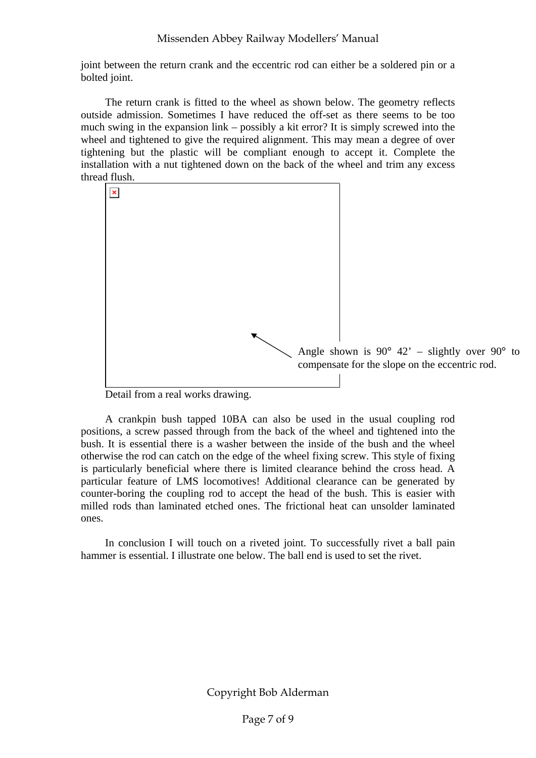joint between the return crank and the eccentric rod can either be a soldered pin or a bolted joint.

The return crank is fitted to the wheel as shown below. The geometry reflects outside admission. Sometimes I have reduced the off-set as there seems to be too much swing in the expansion link – possibly a kit error? It is simply screwed into the wheel and tightened to give the required alignment. This may mean a degree of over tightening but the plastic will be compliant enough to accept it. Complete the installation with a nut tightened down on the back of the wheel and trim any excess thread flush.



Detail from a real works drawing.

A crankpin bush tapped 10BA can also be used in the usual coupling rod positions, a screw passed through from the back of the wheel and tightened into the bush. It is essential there is a washer between the inside of the bush and the wheel otherwise the rod can catch on the edge of the wheel fixing screw. This style of fixing is particularly beneficial where there is limited clearance behind the cross head. A particular feature of LMS locomotives! Additional clearance can be generated by counter-boring the coupling rod to accept the head of the bush. This is easier with milled rods than laminated etched ones. The frictional heat can unsolder laminated ones.

In conclusion I will touch on a riveted joint. To successfully rivet a ball pain hammer is essential. I illustrate one below. The ball end is used to set the rivet.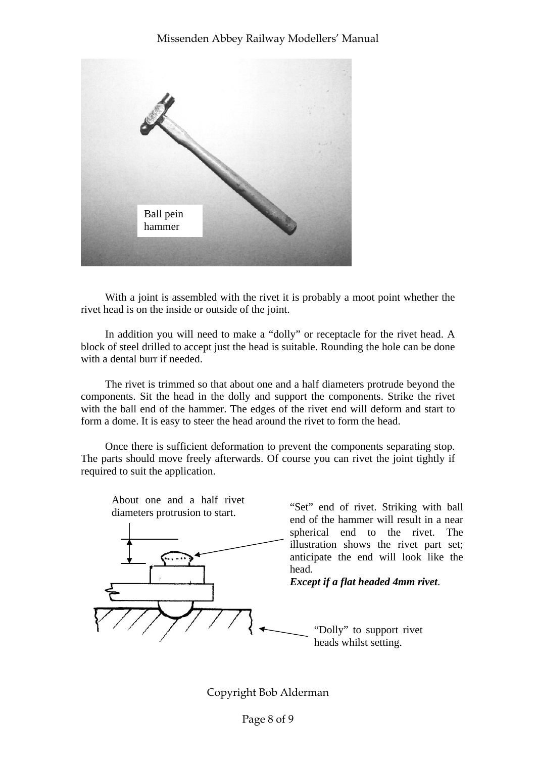

With a joint is assembled with the rivet it is probably a moot point whether the rivet head is on the inside or outside of the joint.

In addition you will need to make a "dolly" or receptacle for the rivet head. A block of steel drilled to accept just the head is suitable. Rounding the hole can be done with a dental burr if needed.

The rivet is trimmed so that about one and a half diameters protrude beyond the components. Sit the head in the dolly and support the components. Strike the rivet with the ball end of the hammer. The edges of the rivet end will deform and start to form a dome. It is easy to steer the head around the rivet to form the head.

Once there is sufficient deformation to prevent the components separating stop. The parts should move freely afterwards. Of course you can rivet the joint tightly if required to suit the application.